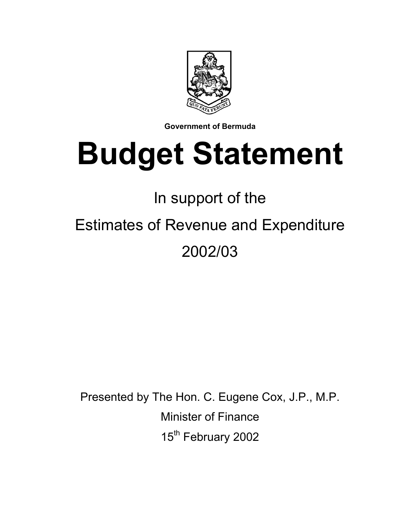

**Government of Bermuda** 

# **Budget Statement**

## In support of the

# Estimates of Revenue and Expenditure 2002/03

Presented by The Hon. C. Eugene Cox, J.P., M.P. Minister of Finance 15<sup>th</sup> February 2002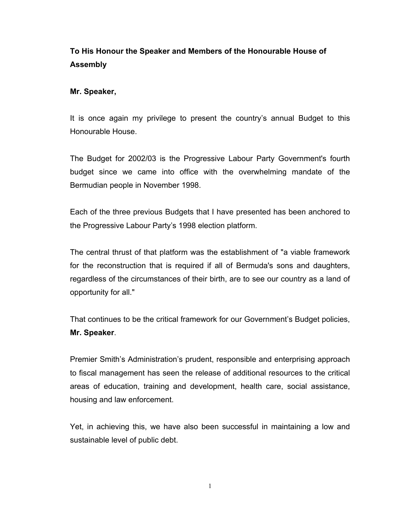### **To His Honour the Speaker and Members of the Honourable House of Assembly**

#### **Mr. Speaker,**

It is once again my privilege to present the country's annual Budget to this Honourable House.

The Budget for 2002/03 is the Progressive Labour Party Government's fourth budget since we came into office with the overwhelming mandate of the Bermudian people in November 1998.

Each of the three previous Budgets that I have presented has been anchored to the Progressive Labour Party's 1998 election platform.

The central thrust of that platform was the establishment of "a viable framework for the reconstruction that is required if all of Bermuda's sons and daughters, regardless of the circumstances of their birth, are to see our country as a land of opportunity for all."

That continues to be the critical framework for our Government's Budget policies, **Mr. Speaker**.

Premier Smith's Administration's prudent, responsible and enterprising approach to fiscal management has seen the release of additional resources to the critical areas of education, training and development, health care, social assistance, housing and law enforcement.

Yet, in achieving this, we have also been successful in maintaining a low and sustainable level of public debt.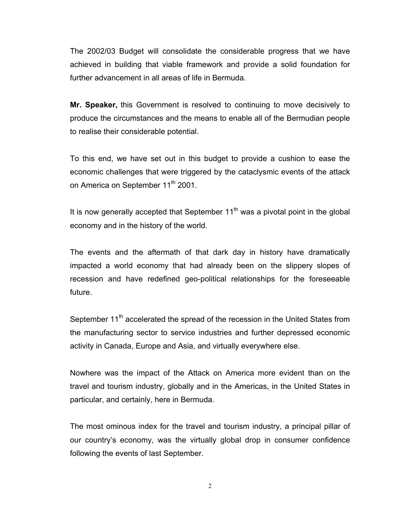The 2002/03 Budget will consolidate the considerable progress that we have achieved in building that viable framework and provide a solid foundation for further advancement in all areas of life in Bermuda.

**Mr. Speaker,** this Government is resolved to continuing to move decisively to produce the circumstances and the means to enable all of the Bermudian people to realise their considerable potential.

To this end, we have set out in this budget to provide a cushion to ease the economic challenges that were triggered by the cataclysmic events of the attack on America on September 11<sup>th</sup> 2001.

It is now generally accepted that September  $11<sup>th</sup>$  was a pivotal point in the global economy and in the history of the world.

The events and the aftermath of that dark day in history have dramatically impacted a world economy that had already been on the slippery slopes of recession and have redefined geo-political relationships for the foreseeable future.

September 11<sup>th</sup> accelerated the spread of the recession in the United States from the manufacturing sector to service industries and further depressed economic activity in Canada, Europe and Asia, and virtually everywhere else.

Nowhere was the impact of the Attack on America more evident than on the travel and tourism industry, globally and in the Americas, in the United States in particular, and certainly, here in Bermuda.

The most ominous index for the travel and tourism industry, a principal pillar of our country's economy, was the virtually global drop in consumer confidence following the events of last September.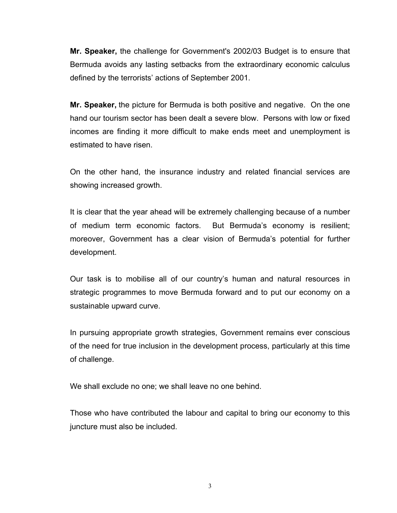**Mr. Speaker,** the challenge for Government's 2002/03 Budget is to ensure that Bermuda avoids any lasting setbacks from the extraordinary economic calculus defined by the terrorists' actions of September 2001.

**Mr. Speaker,** the picture for Bermuda is both positive and negative. On the one hand our tourism sector has been dealt a severe blow. Persons with low or fixed incomes are finding it more difficult to make ends meet and unemployment is estimated to have risen.

On the other hand, the insurance industry and related financial services are showing increased growth.

It is clear that the year ahead will be extremely challenging because of a number of medium term economic factors. But Bermuda's economy is resilient; moreover, Government has a clear vision of Bermuda's potential for further development.

Our task is to mobilise all of our country's human and natural resources in strategic programmes to move Bermuda forward and to put our economy on a sustainable upward curve.

In pursuing appropriate growth strategies, Government remains ever conscious of the need for true inclusion in the development process, particularly at this time of challenge.

We shall exclude no one; we shall leave no one behind.

Those who have contributed the labour and capital to bring our economy to this juncture must also be included.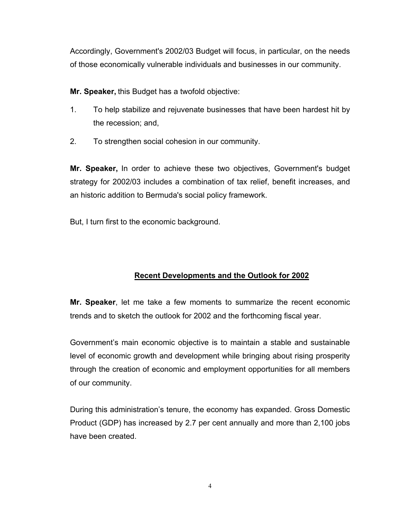Accordingly, Government's 2002/03 Budget will focus, in particular, on the needs of those economically vulnerable individuals and businesses in our community.

**Mr. Speaker,** this Budget has a twofold objective:

- 1. To help stabilize and rejuvenate businesses that have been hardest hit by the recession; and,
- 2. To strengthen social cohesion in our community.

**Mr. Speaker,** In order to achieve these two objectives, Government's budget strategy for 2002/03 includes a combination of tax relief, benefit increases, and an historic addition to Bermuda's social policy framework.

But, I turn first to the economic background.

### **Recent Developments and the Outlook for 2002**

**Mr. Speaker**, let me take a few moments to summarize the recent economic trends and to sketch the outlook for 2002 and the forthcoming fiscal year.

Government's main economic objective is to maintain a stable and sustainable level of economic growth and development while bringing about rising prosperity through the creation of economic and employment opportunities for all members of our community.

During this administration's tenure, the economy has expanded. Gross Domestic Product (GDP) has increased by 2.7 per cent annually and more than 2,100 jobs have been created.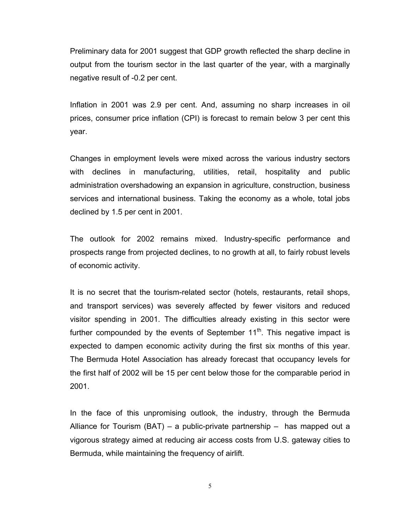Preliminary data for 2001 suggest that GDP growth reflected the sharp decline in output from the tourism sector in the last quarter of the year, with a marginally negative result of -0.2 per cent.

Inflation in 2001 was 2.9 per cent. And, assuming no sharp increases in oil prices, consumer price inflation (CPI) is forecast to remain below 3 per cent this year.

Changes in employment levels were mixed across the various industry sectors with declines in manufacturing, utilities, retail, hospitality and public administration overshadowing an expansion in agriculture, construction, business services and international business. Taking the economy as a whole, total jobs declined by 1.5 per cent in 2001.

The outlook for 2002 remains mixed. Industry-specific performance and prospects range from projected declines, to no growth at all, to fairly robust levels of economic activity.

It is no secret that the tourism-related sector (hotels, restaurants, retail shops, and transport services) was severely affected by fewer visitors and reduced visitor spending in 2001. The difficulties already existing in this sector were further compounded by the events of September  $11<sup>th</sup>$ . This negative impact is expected to dampen economic activity during the first six months of this year. The Bermuda Hotel Association has already forecast that occupancy levels for the first half of 2002 will be 15 per cent below those for the comparable period in 2001.

In the face of this unpromising outlook, the industry, through the Bermuda Alliance for Tourism (BAT) – a public-private partnership – has mapped out a vigorous strategy aimed at reducing air access costs from U.S. gateway cities to Bermuda, while maintaining the frequency of airlift.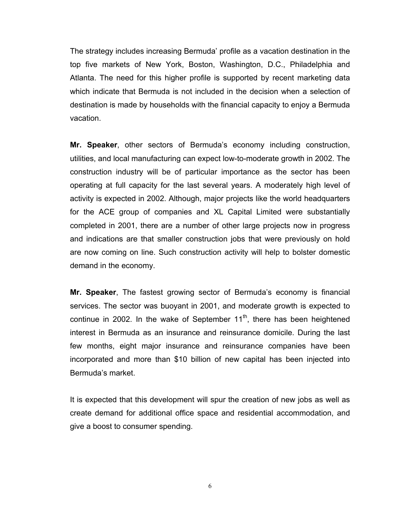The strategy includes increasing Bermuda' profile as a vacation destination in the top five markets of New York, Boston, Washington, D.C., Philadelphia and Atlanta. The need for this higher profile is supported by recent marketing data which indicate that Bermuda is not included in the decision when a selection of destination is made by households with the financial capacity to enjoy a Bermuda vacation.

**Mr. Speaker**, other sectors of Bermuda's economy including construction, utilities, and local manufacturing can expect low-to-moderate growth in 2002. The construction industry will be of particular importance as the sector has been operating at full capacity for the last several years. A moderately high level of activity is expected in 2002. Although, major projects like the world headquarters for the ACE group of companies and XL Capital Limited were substantially completed in 2001, there are a number of other large projects now in progress and indications are that smaller construction jobs that were previously on hold are now coming on line. Such construction activity will help to bolster domestic demand in the economy.

**Mr. Speaker**, The fastest growing sector of Bermuda's economy is financial services. The sector was buoyant in 2001, and moderate growth is expected to continue in 2002. In the wake of September  $11<sup>th</sup>$ , there has been heightened interest in Bermuda as an insurance and reinsurance domicile. During the last few months, eight major insurance and reinsurance companies have been incorporated and more than \$10 billion of new capital has been injected into Bermuda's market.

It is expected that this development will spur the creation of new jobs as well as create demand for additional office space and residential accommodation, and give a boost to consumer spending.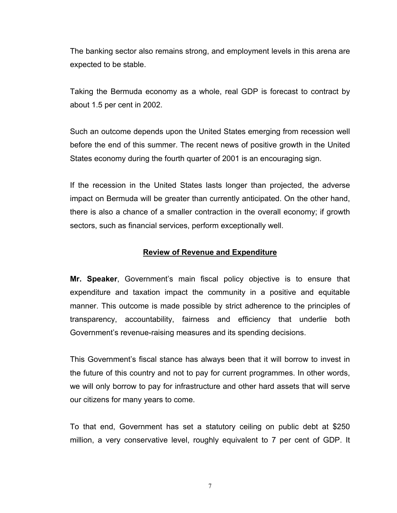The banking sector also remains strong, and employment levels in this arena are expected to be stable.

Taking the Bermuda economy as a whole, real GDP is forecast to contract by about 1.5 per cent in 2002.

Such an outcome depends upon the United States emerging from recession well before the end of this summer. The recent news of positive growth in the United States economy during the fourth quarter of 2001 is an encouraging sign.

If the recession in the United States lasts longer than projected, the adverse impact on Bermuda will be greater than currently anticipated. On the other hand, there is also a chance of a smaller contraction in the overall economy; if growth sectors, such as financial services, perform exceptionally well.

#### **Review of Revenue and Expenditure**

**Mr. Speaker**, Government's main fiscal policy objective is to ensure that expenditure and taxation impact the community in a positive and equitable manner. This outcome is made possible by strict adherence to the principles of transparency, accountability, fairness and efficiency that underlie both Government's revenue-raising measures and its spending decisions.

This Government's fiscal stance has always been that it will borrow to invest in the future of this country and not to pay for current programmes. In other words, we will only borrow to pay for infrastructure and other hard assets that will serve our citizens for many years to come.

To that end, Government has set a statutory ceiling on public debt at \$250 million, a very conservative level, roughly equivalent to 7 per cent of GDP. It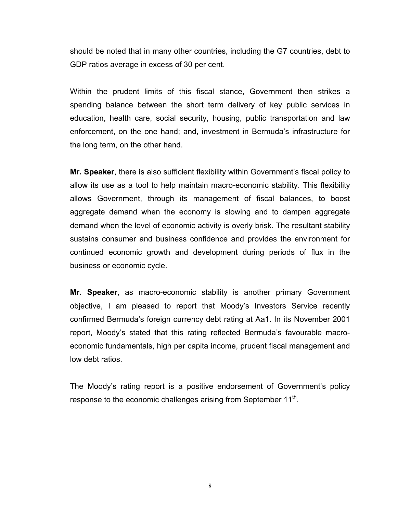should be noted that in many other countries, including the G7 countries, debt to GDP ratios average in excess of 30 per cent.

Within the prudent limits of this fiscal stance, Government then strikes a spending balance between the short term delivery of key public services in education, health care, social security, housing, public transportation and law enforcement, on the one hand; and, investment in Bermuda's infrastructure for the long term, on the other hand.

**Mr. Speaker**, there is also sufficient flexibility within Government's fiscal policy to allow its use as a tool to help maintain macro-economic stability. This flexibility allows Government, through its management of fiscal balances, to boost aggregate demand when the economy is slowing and to dampen aggregate demand when the level of economic activity is overly brisk. The resultant stability sustains consumer and business confidence and provides the environment for continued economic growth and development during periods of flux in the business or economic cycle.

**Mr. Speaker**, as macro-economic stability is another primary Government objective, I am pleased to report that Moody's Investors Service recently confirmed Bermuda's foreign currency debt rating at Aa1. In its November 2001 report, Moody's stated that this rating reflected Bermuda's favourable macroeconomic fundamentals, high per capita income, prudent fiscal management and low debt ratios.

The Moody's rating report is a positive endorsement of Government's policy response to the economic challenges arising from September  $11<sup>th</sup>$ .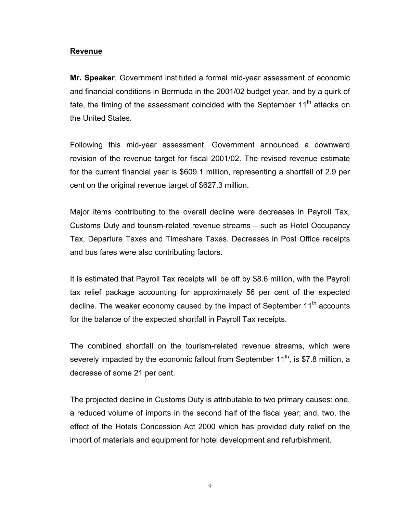#### **Revenue**

**Mr. Speaker**, Government instituted a formal mid-year assessment of economic and financial conditions in Bermuda in the 2001/02 budget year, and by a quirk of fate, the timing of the assessment coincided with the September  $11<sup>th</sup>$  attacks on the United States.

Following this mid-year assessment, Government announced a downward revision of the revenue target for fiscal 2001/02. The revised revenue estimate for the current financial year is \$609.1 million, representing a shortfall of 2.9 per cent on the original revenue target of \$627.3 million.

Major items contributing to the overall decline were decreases in Payroll Tax, Customs Duty and tourism-related revenue streams – such as Hotel Occupancy Tax, Departure Taxes and Timeshare Taxes. Decreases in Post Office receipts and bus fares were also contributing factors.

It is estimated that Payroll Tax receipts will be off by \$8.6 million, with the Payroll tax relief package accounting for approximately 56 per cent of the expected decline. The weaker economy caused by the impact of September 11<sup>th</sup> accounts for the balance of the expected shortfall in Payroll Tax receipts.

The combined shortfall on the tourism-related revenue streams, which were severely impacted by the economic fallout from September  $11<sup>th</sup>$ , is \$7.8 million, a decrease of some 21 per cent.

The projected decline in Customs Duty is attributable to two primary causes: one, a reduced volume of imports in the second half of the fiscal year; and, two, the effect of the Hotels Concession Act 2000 which has provided duty relief on the import of materials and equipment for hotel development and refurbishment.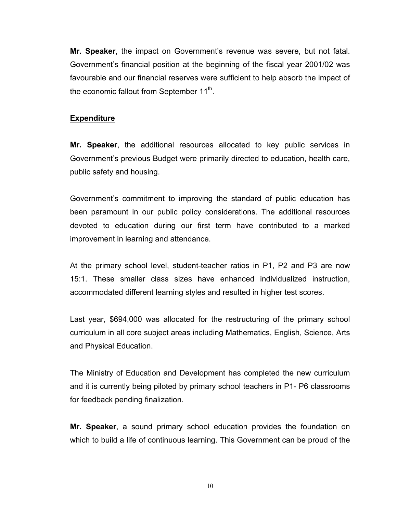**Mr. Speaker**, the impact on Government's revenue was severe, but not fatal. Government's financial position at the beginning of the fiscal year 2001/02 was favourable and our financial reserves were sufficient to help absorb the impact of the economic fallout from September  $11<sup>th</sup>$ .

#### **Expenditure**

**Mr. Speaker**, the additional resources allocated to key public services in Government's previous Budget were primarily directed to education, health care, public safety and housing.

Government's commitment to improving the standard of public education has been paramount in our public policy considerations. The additional resources devoted to education during our first term have contributed to a marked improvement in learning and attendance.

At the primary school level, student-teacher ratios in P1, P2 and P3 are now 15:1. These smaller class sizes have enhanced individualized instruction, accommodated different learning styles and resulted in higher test scores.

Last year, \$694,000 was allocated for the restructuring of the primary school curriculum in all core subject areas including Mathematics, English, Science, Arts and Physical Education.

The Ministry of Education and Development has completed the new curriculum and it is currently being piloted by primary school teachers in P1- P6 classrooms for feedback pending finalization.

**Mr. Speaker**, a sound primary school education provides the foundation on which to build a life of continuous learning. This Government can be proud of the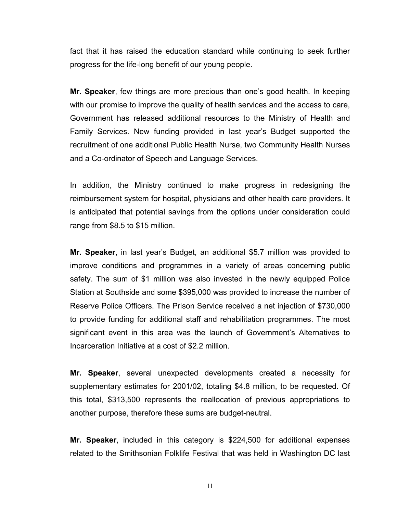fact that it has raised the education standard while continuing to seek further progress for the life-long benefit of our young people.

**Mr. Speaker**, few things are more precious than one's good health. In keeping with our promise to improve the quality of health services and the access to care, Government has released additional resources to the Ministry of Health and Family Services. New funding provided in last year's Budget supported the recruitment of one additional Public Health Nurse, two Community Health Nurses and a Co-ordinator of Speech and Language Services.

In addition, the Ministry continued to make progress in redesigning the reimbursement system for hospital, physicians and other health care providers. It is anticipated that potential savings from the options under consideration could range from \$8.5 to \$15 million.

**Mr. Speaker**, in last year's Budget, an additional \$5.7 million was provided to improve conditions and programmes in a variety of areas concerning public safety. The sum of \$1 million was also invested in the newly equipped Police Station at Southside and some \$395,000 was provided to increase the number of Reserve Police Officers. The Prison Service received a net injection of \$730,000 to provide funding for additional staff and rehabilitation programmes. The most significant event in this area was the launch of Government's Alternatives to Incarceration Initiative at a cost of \$2.2 million.

**Mr. Speaker**, several unexpected developments created a necessity for supplementary estimates for 2001/02, totaling \$4.8 million, to be requested. Of this total, \$313,500 represents the reallocation of previous appropriations to another purpose, therefore these sums are budget-neutral.

**Mr. Speaker**, included in this category is \$224,500 for additional expenses related to the Smithsonian Folklife Festival that was held in Washington DC last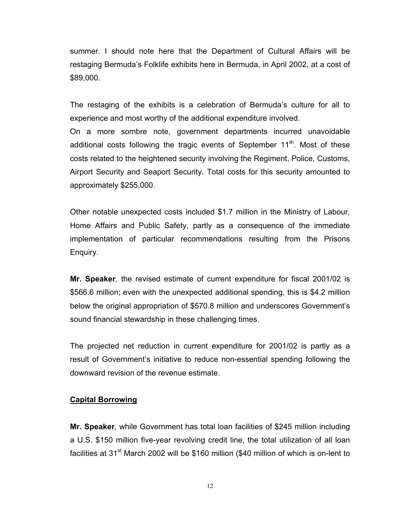summer. I should note here that the Department of Cultural Affairs will be restaging Bermuda's Folklife exhibits here in Bermuda, in April 2002, at a cost of \$89,000.

The restaging of the exhibits is a celebration of Bermuda's culture for all to experience and most worthy of the additional expenditure involved.

On a more sombre note, government departments incurred unavoidable additional costs following the tragic events of September  $11<sup>th</sup>$ . Most of these costs related to the heightened security involving the Regiment, Police, Customs, Airport Security and Seaport Security. Total costs for this security amounted to approximately \$255,000.

Other notable unexpected costs included \$1.7 million in the Ministry of Labour, Home Affairs and Public Safety, partly as a consequence of the immediate implementation of particular recommendations resulting from the Prisons Enquiry.

**Mr. Speaker**, the revised estimate of current expenditure for fiscal 2001/02 is \$566.6 million; even with the unexpected additional spending, this is \$4.2 million below the original appropriation of \$570.8 million and underscores Government's sound financial stewardship in these challenging times.

The projected net reduction in current expenditure for 2001/02 is partly as a result of Government's initiative to reduce non-essential spending following the downward revision of the revenue estimate.

#### **Capital Borrowing**

**Mr. Speaker**, while Government has total loan facilities of \$245 million including a U.S. \$150 million five-year revolving credit line, the total utilization of all loan facilities at 31<sup>st</sup> March 2002 will be \$160 million (\$40 million of which is on-lent to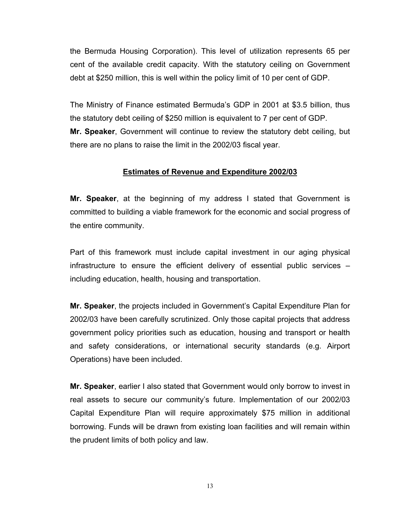the Bermuda Housing Corporation). This level of utilization represents 65 per cent of the available credit capacity. With the statutory ceiling on Government debt at \$250 million, this is well within the policy limit of 10 per cent of GDP.

The Ministry of Finance estimated Bermuda's GDP in 2001 at \$3.5 billion, thus the statutory debt ceiling of \$250 million is equivalent to 7 per cent of GDP. **Mr. Speaker**, Government will continue to review the statutory debt ceiling, but there are no plans to raise the limit in the 2002/03 fiscal year.

#### **Estimates of Revenue and Expenditure 2002/03**

**Mr. Speaker**, at the beginning of my address I stated that Government is committed to building a viable framework for the economic and social progress of the entire community.

Part of this framework must include capital investment in our aging physical infrastructure to ensure the efficient delivery of essential public services – including education, health, housing and transportation.

**Mr. Speaker**, the projects included in Government's Capital Expenditure Plan for 2002/03 have been carefully scrutinized. Only those capital projects that address government policy priorities such as education, housing and transport or health and safety considerations, or international security standards (e.g. Airport Operations) have been included.

**Mr. Speaker**, earlier I also stated that Government would only borrow to invest in real assets to secure our community's future. Implementation of our 2002/03 Capital Expenditure Plan will require approximately \$75 million in additional borrowing. Funds will be drawn from existing loan facilities and will remain within the prudent limits of both policy and law.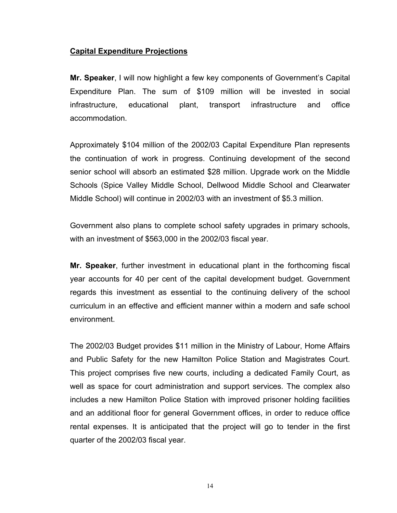#### **Capital Expenditure Projections**

**Mr. Speaker**, I will now highlight a few key components of Government's Capital Expenditure Plan. The sum of \$109 million will be invested in social infrastructure, educational plant, transport infrastructure and office accommodation.

Approximately \$104 million of the 2002/03 Capital Expenditure Plan represents the continuation of work in progress. Continuing development of the second senior school will absorb an estimated \$28 million. Upgrade work on the Middle Schools (Spice Valley Middle School, Dellwood Middle School and Clearwater Middle School) will continue in 2002/03 with an investment of \$5.3 million.

Government also plans to complete school safety upgrades in primary schools, with an investment of \$563,000 in the 2002/03 fiscal year.

**Mr. Speaker**, further investment in educational plant in the forthcoming fiscal year accounts for 40 per cent of the capital development budget. Government regards this investment as essential to the continuing delivery of the school curriculum in an effective and efficient manner within a modern and safe school environment.

The 2002/03 Budget provides \$11 million in the Ministry of Labour, Home Affairs and Public Safety for the new Hamilton Police Station and Magistrates Court. This project comprises five new courts, including a dedicated Family Court, as well as space for court administration and support services. The complex also includes a new Hamilton Police Station with improved prisoner holding facilities and an additional floor for general Government offices, in order to reduce office rental expenses. It is anticipated that the project will go to tender in the first quarter of the 2002/03 fiscal year.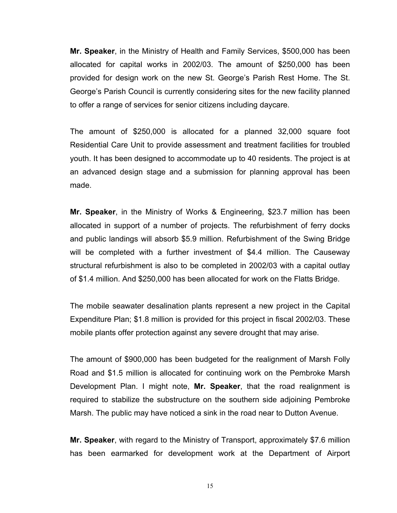**Mr. Speaker**, in the Ministry of Health and Family Services, \$500,000 has been allocated for capital works in 2002/03. The amount of \$250,000 has been provided for design work on the new St. George's Parish Rest Home. The St. George's Parish Council is currently considering sites for the new facility planned to offer a range of services for senior citizens including daycare.

The amount of \$250,000 is allocated for a planned 32,000 square foot Residential Care Unit to provide assessment and treatment facilities for troubled youth. It has been designed to accommodate up to 40 residents. The project is at an advanced design stage and a submission for planning approval has been made.

**Mr. Speaker**, in the Ministry of Works & Engineering, \$23.7 million has been allocated in support of a number of projects. The refurbishment of ferry docks and public landings will absorb \$5.9 million. Refurbishment of the Swing Bridge will be completed with a further investment of \$4.4 million. The Causeway structural refurbishment is also to be completed in 2002/03 with a capital outlay of \$1.4 million. And \$250,000 has been allocated for work on the Flatts Bridge.

The mobile seawater desalination plants represent a new project in the Capital Expenditure Plan; \$1.8 million is provided for this project in fiscal 2002/03. These mobile plants offer protection against any severe drought that may arise.

The amount of \$900,000 has been budgeted for the realignment of Marsh Folly Road and \$1.5 million is allocated for continuing work on the Pembroke Marsh Development Plan. I might note, **Mr. Speaker**, that the road realignment is required to stabilize the substructure on the southern side adjoining Pembroke Marsh. The public may have noticed a sink in the road near to Dutton Avenue.

**Mr. Speaker**, with regard to the Ministry of Transport, approximately \$7.6 million has been earmarked for development work at the Department of Airport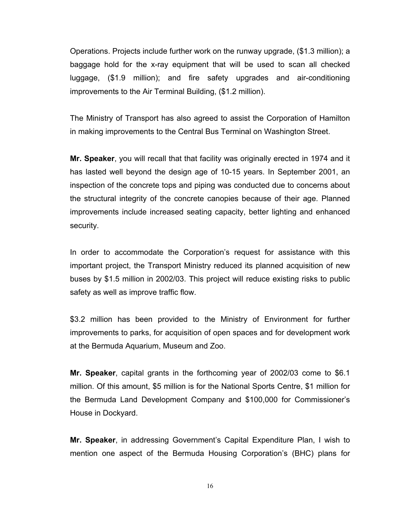Operations. Projects include further work on the runway upgrade, (\$1.3 million); a baggage hold for the x-ray equipment that will be used to scan all checked luggage, (\$1.9 million); and fire safety upgrades and air-conditioning improvements to the Air Terminal Building, (\$1.2 million).

The Ministry of Transport has also agreed to assist the Corporation of Hamilton in making improvements to the Central Bus Terminal on Washington Street.

**Mr. Speaker**, you will recall that that facility was originally erected in 1974 and it has lasted well beyond the design age of 10-15 years. In September 2001, an inspection of the concrete tops and piping was conducted due to concerns about the structural integrity of the concrete canopies because of their age. Planned improvements include increased seating capacity, better lighting and enhanced security.

In order to accommodate the Corporation's request for assistance with this important project, the Transport Ministry reduced its planned acquisition of new buses by \$1.5 million in 2002/03. This project will reduce existing risks to public safety as well as improve traffic flow.

\$3.2 million has been provided to the Ministry of Environment for further improvements to parks, for acquisition of open spaces and for development work at the Bermuda Aquarium, Museum and Zoo.

**Mr. Speaker**, capital grants in the forthcoming year of 2002/03 come to \$6.1 million. Of this amount, \$5 million is for the National Sports Centre, \$1 million for the Bermuda Land Development Company and \$100,000 for Commissioner's House in Dockyard.

**Mr. Speaker**, in addressing Government's Capital Expenditure Plan, I wish to mention one aspect of the Bermuda Housing Corporation's (BHC) plans for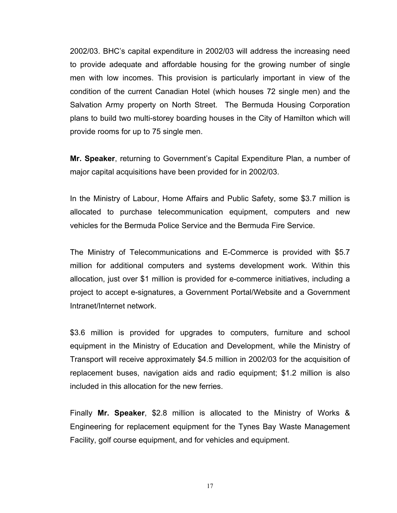2002/03. BHC's capital expenditure in 2002/03 will address the increasing need to provide adequate and affordable housing for the growing number of single men with low incomes. This provision is particularly important in view of the condition of the current Canadian Hotel (which houses 72 single men) and the Salvation Army property on North Street. The Bermuda Housing Corporation plans to build two multi-storey boarding houses in the City of Hamilton which will provide rooms for up to 75 single men.

**Mr. Speaker**, returning to Government's Capital Expenditure Plan, a number of major capital acquisitions have been provided for in 2002/03.

In the Ministry of Labour, Home Affairs and Public Safety, some \$3.7 million is allocated to purchase telecommunication equipment, computers and new vehicles for the Bermuda Police Service and the Bermuda Fire Service.

The Ministry of Telecommunications and E-Commerce is provided with \$5.7 million for additional computers and systems development work. Within this allocation, just over \$1 million is provided for e-commerce initiatives, including a project to accept e-signatures, a Government Portal/Website and a Government Intranet/Internet network.

\$3.6 million is provided for upgrades to computers, furniture and school equipment in the Ministry of Education and Development, while the Ministry of Transport will receive approximately \$4.5 million in 2002/03 for the acquisition of replacement buses, navigation aids and radio equipment; \$1.2 million is also included in this allocation for the new ferries.

Finally **Mr. Speaker**, \$2.8 million is allocated to the Ministry of Works & Engineering for replacement equipment for the Tynes Bay Waste Management Facility, golf course equipment, and for vehicles and equipment.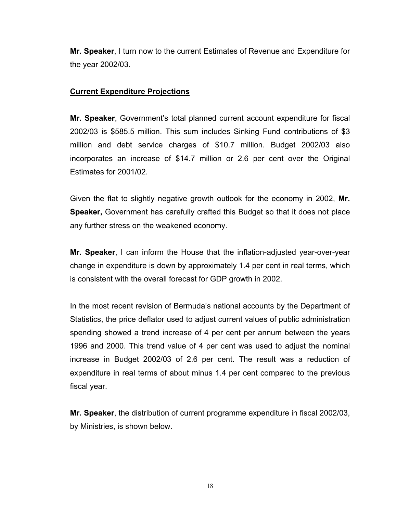**Mr. Speaker**, I turn now to the current Estimates of Revenue and Expenditure for the year 2002/03.

#### **Current Expenditure Projections**

**Mr. Speaker**, Government's total planned current account expenditure for fiscal 2002/03 is \$585.5 million. This sum includes Sinking Fund contributions of \$3 million and debt service charges of \$10.7 million. Budget 2002/03 also incorporates an increase of \$14.7 million or 2.6 per cent over the Original Estimates for 2001/02.

Given the flat to slightly negative growth outlook for the economy in 2002, **Mr. Speaker,** Government has carefully crafted this Budget so that it does not place any further stress on the weakened economy.

**Mr. Speaker**, I can inform the House that the inflation-adjusted year-over-year change in expenditure is down by approximately 1.4 per cent in real terms, which is consistent with the overall forecast for GDP growth in 2002.

In the most recent revision of Bermuda's national accounts by the Department of Statistics, the price deflator used to adjust current values of public administration spending showed a trend increase of 4 per cent per annum between the years 1996 and 2000. This trend value of 4 per cent was used to adjust the nominal increase in Budget 2002/03 of 2.6 per cent. The result was a reduction of expenditure in real terms of about minus 1.4 per cent compared to the previous fiscal year.

**Mr. Speaker**, the distribution of current programme expenditure in fiscal 2002/03, by Ministries, is shown below.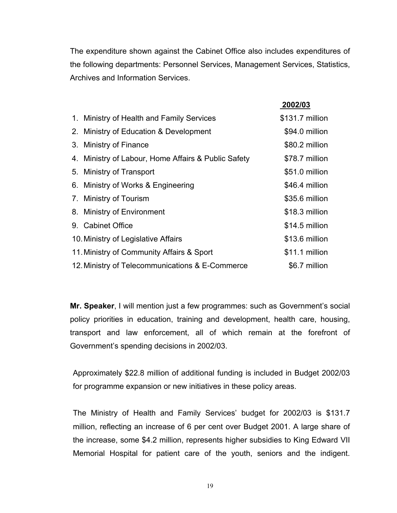The expenditure shown against the Cabinet Office also includes expenditures of the following departments: Personnel Services, Management Services, Statistics, Archives and Information Services.

 **2002/03**

|                                                     | 2002/03         |
|-----------------------------------------------------|-----------------|
| 1. Ministry of Health and Family Services           | \$131.7 million |
| 2. Ministry of Education & Development              | \$94.0 million  |
| 3. Ministry of Finance                              | \$80.2 million  |
| 4. Ministry of Labour, Home Affairs & Public Safety | \$78.7 million  |
| 5. Ministry of Transport                            | \$51.0 million  |
| 6. Ministry of Works & Engineering                  | \$46.4 million  |
| 7. Ministry of Tourism                              | \$35.6 million  |
| 8. Ministry of Environment                          | \$18.3 million  |
| 9. Cabinet Office                                   | \$14.5 million  |
| 10. Ministry of Legislative Affairs                 | \$13.6 million  |
| 11. Ministry of Community Affairs & Sport           | \$11.1 million  |
| 12. Ministry of Telecommunications & E-Commerce     | \$6.7 million   |

**Mr. Speaker**, I will mention just a few programmes: such as Government's social policy priorities in education, training and development, health care, housing, transport and law enforcement, all of which remain at the forefront of Government's spending decisions in 2002/03.

Approximately \$22.8 million of additional funding is included in Budget 2002/03 for programme expansion or new initiatives in these policy areas.

The Ministry of Health and Family Services' budget for 2002/03 is \$131.7 million, reflecting an increase of 6 per cent over Budget 2001. A large share of the increase, some \$4.2 million, represents higher subsidies to King Edward VII Memorial Hospital for patient care of the youth, seniors and the indigent.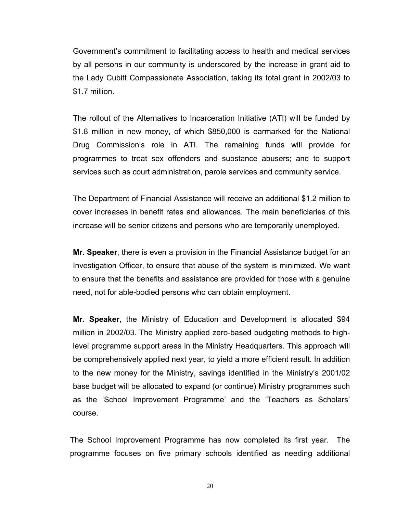Government's commitment to facilitating access to health and medical services by all persons in our community is underscored by the increase in grant aid to the Lady Cubitt Compassionate Association, taking its total grant in 2002/03 to \$1.7 million.

The rollout of the Alternatives to Incarceration Initiative (ATI) will be funded by \$1.8 million in new money, of which \$850,000 is earmarked for the National Drug Commission's role in ATI. The remaining funds will provide for programmes to treat sex offenders and substance abusers; and to support services such as court administration, parole services and community service.

The Department of Financial Assistance will receive an additional \$1.2 million to cover increases in benefit rates and allowances. The main beneficiaries of this increase will be senior citizens and persons who are temporarily unemployed.

**Mr. Speaker**, there is even a provision in the Financial Assistance budget for an Investigation Officer, to ensure that abuse of the system is minimized. We want to ensure that the benefits and assistance are provided for those with a genuine need, not for able-bodied persons who can obtain employment.

**Mr. Speaker**, the Ministry of Education and Development is allocated \$94 million in 2002/03. The Ministry applied zero-based budgeting methods to highlevel programme support areas in the Ministry Headquarters. This approach will be comprehensively applied next year, to yield a more efficient result. In addition to the new money for the Ministry, savings identified in the Ministry's 2001/02 base budget will be allocated to expand (or continue) Ministry programmes such as the 'School Improvement Programme' and the 'Teachers as Scholars' course.

The School Improvement Programme has now completed its first year. The programme focuses on five primary schools identified as needing additional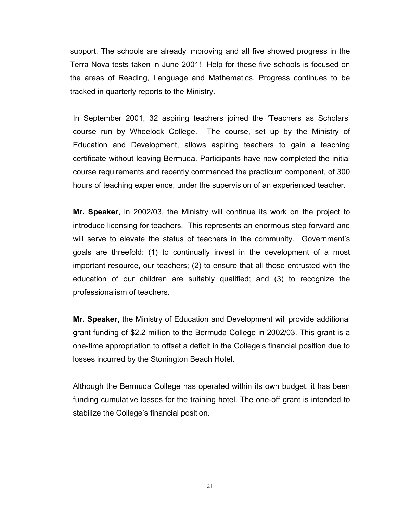support. The schools are already improving and all five showed progress in the Terra Nova tests taken in June 2001! Help for these five schools is focused on the areas of Reading, Language and Mathematics. Progress continues to be tracked in quarterly reports to the Ministry.

In September 2001, 32 aspiring teachers joined the 'Teachers as Scholars' course run by Wheelock College. The course, set up by the Ministry of Education and Development, allows aspiring teachers to gain a teaching certificate without leaving Bermuda. Participants have now completed the initial course requirements and recently commenced the practicum component, of 300 hours of teaching experience, under the supervision of an experienced teacher.

**Mr. Speaker**, in 2002/03, the Ministry will continue its work on the project to introduce licensing for teachers. This represents an enormous step forward and will serve to elevate the status of teachers in the community. Government's goals are threefold: (1) to continually invest in the development of a most important resource, our teachers; (2) to ensure that all those entrusted with the education of our children are suitably qualified; and (3) to recognize the professionalism of teachers.

**Mr. Speaker**, the Ministry of Education and Development will provide additional grant funding of \$2.2 million to the Bermuda College in 2002/03. This grant is a one-time appropriation to offset a deficit in the College's financial position due to losses incurred by the Stonington Beach Hotel.

Although the Bermuda College has operated within its own budget, it has been funding cumulative losses for the training hotel. The one-off grant is intended to stabilize the College's financial position.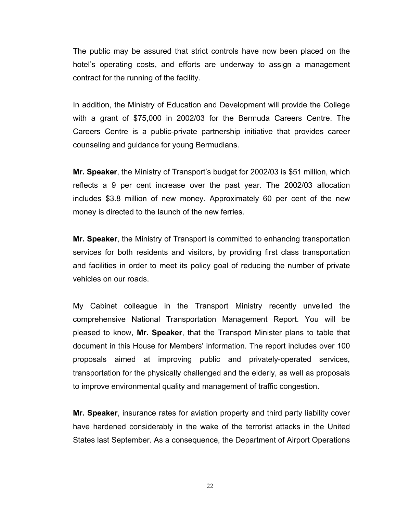The public may be assured that strict controls have now been placed on the hotel's operating costs, and efforts are underway to assign a management contract for the running of the facility.

In addition, the Ministry of Education and Development will provide the College with a grant of \$75,000 in 2002/03 for the Bermuda Careers Centre. The Careers Centre is a public-private partnership initiative that provides career counseling and guidance for young Bermudians.

**Mr. Speaker**, the Ministry of Transport's budget for 2002/03 is \$51 million, which reflects a 9 per cent increase over the past year. The 2002/03 allocation includes \$3.8 million of new money. Approximately 60 per cent of the new money is directed to the launch of the new ferries.

**Mr. Speaker**, the Ministry of Transport is committed to enhancing transportation services for both residents and visitors, by providing first class transportation and facilities in order to meet its policy goal of reducing the number of private vehicles on our roads.

My Cabinet colleague in the Transport Ministry recently unveiled the comprehensive National Transportation Management Report. You will be pleased to know, **Mr. Speaker**, that the Transport Minister plans to table that document in this House for Members' information. The report includes over 100 proposals aimed at improving public and privately-operated services, transportation for the physically challenged and the elderly, as well as proposals to improve environmental quality and management of traffic congestion.

**Mr. Speaker**, insurance rates for aviation property and third party liability cover have hardened considerably in the wake of the terrorist attacks in the United States last September. As a consequence, the Department of Airport Operations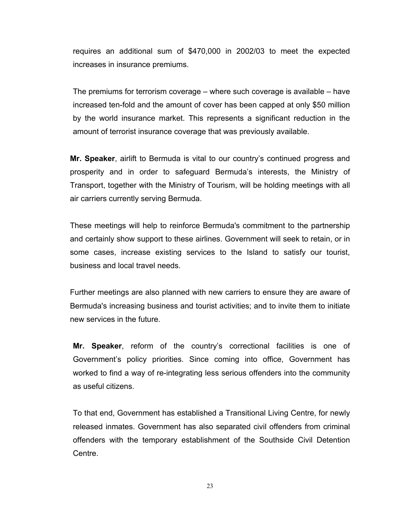requires an additional sum of \$470,000 in 2002/03 to meet the expected increases in insurance premiums.

The premiums for terrorism coverage – where such coverage is available – have increased ten-fold and the amount of cover has been capped at only \$50 million by the world insurance market. This represents a significant reduction in the amount of terrorist insurance coverage that was previously available.

**Mr. Speaker**, airlift to Bermuda is vital to our country's continued progress and prosperity and in order to safeguard Bermuda's interests, the Ministry of Transport, together with the Ministry of Tourism, will be holding meetings with all air carriers currently serving Bermuda.

These meetings will help to reinforce Bermuda's commitment to the partnership and certainly show support to these airlines. Government will seek to retain, or in some cases, increase existing services to the Island to satisfy our tourist, business and local travel needs.

Further meetings are also planned with new carriers to ensure they are aware of Bermuda's increasing business and tourist activities; and to invite them to initiate new services in the future.

**Mr. Speaker**, reform of the country's correctional facilities is one of Government's policy priorities. Since coming into office, Government has worked to find a way of re-integrating less serious offenders into the community as useful citizens.

To that end, Government has established a Transitional Living Centre, for newly released inmates. Government has also separated civil offenders from criminal offenders with the temporary establishment of the Southside Civil Detention Centre.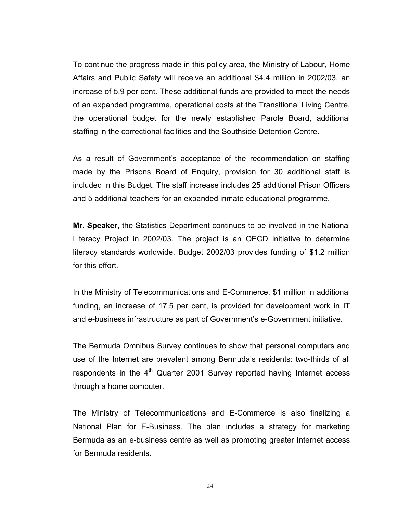To continue the progress made in this policy area, the Ministry of Labour, Home Affairs and Public Safety will receive an additional \$4.4 million in 2002/03, an increase of 5.9 per cent. These additional funds are provided to meet the needs of an expanded programme, operational costs at the Transitional Living Centre, the operational budget for the newly established Parole Board, additional staffing in the correctional facilities and the Southside Detention Centre.

As a result of Government's acceptance of the recommendation on staffing made by the Prisons Board of Enquiry, provision for 30 additional staff is included in this Budget. The staff increase includes 25 additional Prison Officers and 5 additional teachers for an expanded inmate educational programme.

**Mr. Speaker**, the Statistics Department continues to be involved in the National Literacy Project in 2002/03. The project is an OECD initiative to determine literacy standards worldwide. Budget 2002/03 provides funding of \$1.2 million for this effort.

In the Ministry of Telecommunications and E-Commerce, \$1 million in additional funding, an increase of 17.5 per cent, is provided for development work in IT and e-business infrastructure as part of Government's e-Government initiative.

The Bermuda Omnibus Survey continues to show that personal computers and use of the Internet are prevalent among Bermuda's residents: two-thirds of all respondents in the  $4<sup>th</sup>$  Quarter 2001 Survey reported having Internet access through a home computer.

The Ministry of Telecommunications and E-Commerce is also finalizing a National Plan for E-Business. The plan includes a strategy for marketing Bermuda as an e-business centre as well as promoting greater Internet access for Bermuda residents.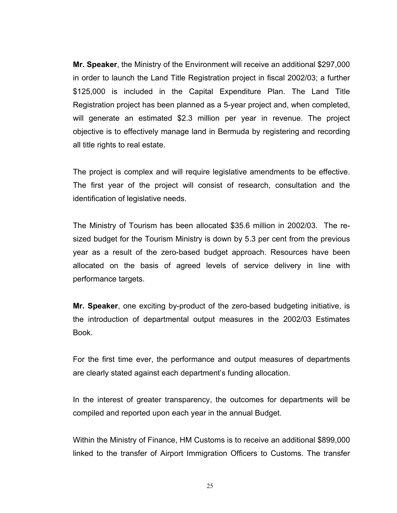**Mr. Speaker**, the Ministry of the Environment will receive an additional \$297,000 in order to launch the Land Title Registration project in fiscal 2002/03; a further \$125,000 is included in the Capital Expenditure Plan. The Land Title Registration project has been planned as a 5-year project and, when completed, will generate an estimated \$2.3 million per year in revenue. The project objective is to effectively manage land in Bermuda by registering and recording all title rights to real estate.

The project is complex and will require legislative amendments to be effective. The first year of the project will consist of research, consultation and the identification of legislative needs.

The Ministry of Tourism has been allocated \$35.6 million in 2002/03. The resized budget for the Tourism Ministry is down by 5.3 per cent from the previous year as a result of the zero-based budget approach. Resources have been allocated on the basis of agreed levels of service delivery in line with performance targets.

**Mr. Speaker**, one exciting by-product of the zero-based budgeting initiative, is the introduction of departmental output measures in the 2002/03 Estimates Book.

For the first time ever, the performance and output measures of departments are clearly stated against each department's funding allocation.

In the interest of greater transparency, the outcomes for departments will be compiled and reported upon each year in the annual Budget.

Within the Ministry of Finance, HM Customs is to receive an additional \$899,000 linked to the transfer of Airport Immigration Officers to Customs. The transfer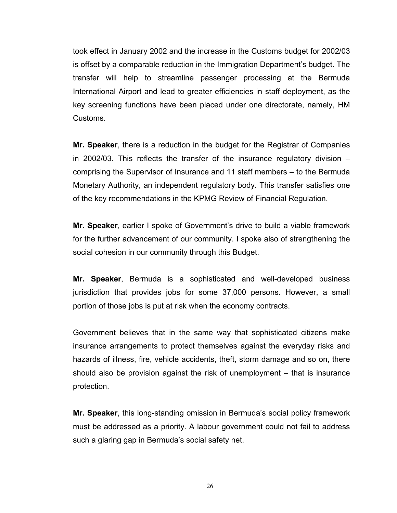took effect in January 2002 and the increase in the Customs budget for 2002/03 is offset by a comparable reduction in the Immigration Department's budget. The transfer will help to streamline passenger processing at the Bermuda International Airport and lead to greater efficiencies in staff deployment, as the key screening functions have been placed under one directorate, namely, HM Customs.

**Mr. Speaker**, there is a reduction in the budget for the Registrar of Companies in 2002/03. This reflects the transfer of the insurance regulatory division – comprising the Supervisor of Insurance and 11 staff members – to the Bermuda Monetary Authority, an independent regulatory body. This transfer satisfies one of the key recommendations in the KPMG Review of Financial Regulation.

**Mr. Speaker**, earlier I spoke of Government's drive to build a viable framework for the further advancement of our community. I spoke also of strengthening the social cohesion in our community through this Budget.

**Mr. Speaker**, Bermuda is a sophisticated and well-developed business jurisdiction that provides jobs for some 37,000 persons. However, a small portion of those jobs is put at risk when the economy contracts.

Government believes that in the same way that sophisticated citizens make insurance arrangements to protect themselves against the everyday risks and hazards of illness, fire, vehicle accidents, theft, storm damage and so on, there should also be provision against the risk of unemployment – that is insurance protection.

**Mr. Speaker**, this long-standing omission in Bermuda's social policy framework must be addressed as a priority. A labour government could not fail to address such a glaring gap in Bermuda's social safety net.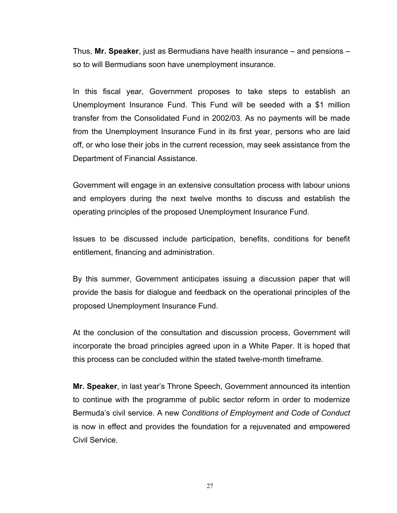Thus, **Mr. Speaker**, just as Bermudians have health insurance – and pensions – so to will Bermudians soon have unemployment insurance.

In this fiscal year, Government proposes to take steps to establish an Unemployment Insurance Fund. This Fund will be seeded with a \$1 million transfer from the Consolidated Fund in 2002/03. As no payments will be made from the Unemployment Insurance Fund in its first year, persons who are laid off, or who lose their jobs in the current recession, may seek assistance from the Department of Financial Assistance.

Government will engage in an extensive consultation process with labour unions and employers during the next twelve months to discuss and establish the operating principles of the proposed Unemployment Insurance Fund.

Issues to be discussed include participation, benefits, conditions for benefit entitlement, financing and administration.

By this summer, Government anticipates issuing a discussion paper that will provide the basis for dialogue and feedback on the operational principles of the proposed Unemployment Insurance Fund.

At the conclusion of the consultation and discussion process, Government will incorporate the broad principles agreed upon in a White Paper. It is hoped that this process can be concluded within the stated twelve-month timeframe.

**Mr. Speaker**, in last year's Throne Speech, Government announced its intention to continue with the programme of public sector reform in order to modernize Bermuda's civil service. A new *Conditions of Employment and Code of Conduct* is now in effect and provides the foundation for a rejuvenated and empowered Civil Service.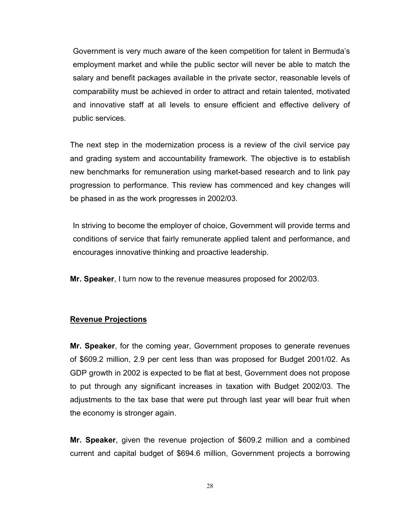Government is very much aware of the keen competition for talent in Bermuda's employment market and while the public sector will never be able to match the salary and benefit packages available in the private sector, reasonable levels of comparability must be achieved in order to attract and retain talented, motivated and innovative staff at all levels to ensure efficient and effective delivery of public services.

The next step in the modernization process is a review of the civil service pay and grading system and accountability framework. The objective is to establish new benchmarks for remuneration using market-based research and to link pay progression to performance. This review has commenced and key changes will be phased in as the work progresses in 2002/03.

In striving to become the employer of choice, Government will provide terms and conditions of service that fairly remunerate applied talent and performance, and encourages innovative thinking and proactive leadership.

**Mr. Speaker**, I turn now to the revenue measures proposed for 2002/03.

#### **Revenue Projections**

**Mr. Speaker**, for the coming year, Government proposes to generate revenues of \$609.2 million, 2.9 per cent less than was proposed for Budget 2001/02. As GDP growth in 2002 is expected to be flat at best, Government does not propose to put through any significant increases in taxation with Budget 2002/03. The adjustments to the tax base that were put through last year will bear fruit when the economy is stronger again.

**Mr. Speaker**, given the revenue projection of \$609.2 million and a combined current and capital budget of \$694.6 million, Government projects a borrowing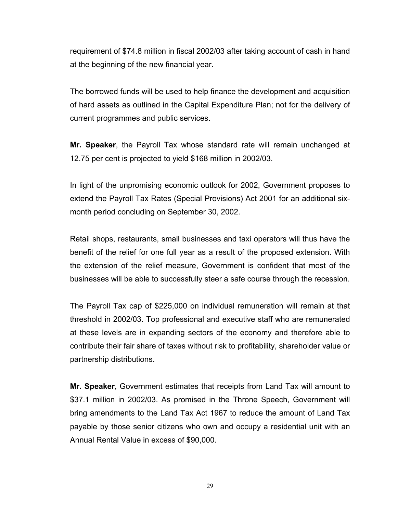requirement of \$74.8 million in fiscal 2002/03 after taking account of cash in hand at the beginning of the new financial year.

The borrowed funds will be used to help finance the development and acquisition of hard assets as outlined in the Capital Expenditure Plan; not for the delivery of current programmes and public services.

**Mr. Speaker**, the Payroll Tax whose standard rate will remain unchanged at 12.75 per cent is projected to yield \$168 million in 2002/03.

In light of the unpromising economic outlook for 2002, Government proposes to extend the Payroll Tax Rates (Special Provisions) Act 2001 for an additional sixmonth period concluding on September 30, 2002.

Retail shops, restaurants, small businesses and taxi operators will thus have the benefit of the relief for one full year as a result of the proposed extension. With the extension of the relief measure, Government is confident that most of the businesses will be able to successfully steer a safe course through the recession.

The Payroll Tax cap of \$225,000 on individual remuneration will remain at that threshold in 2002/03. Top professional and executive staff who are remunerated at these levels are in expanding sectors of the economy and therefore able to contribute their fair share of taxes without risk to profitability, shareholder value or partnership distributions.

**Mr. Speaker**, Government estimates that receipts from Land Tax will amount to \$37.1 million in 2002/03. As promised in the Throne Speech, Government will bring amendments to the Land Tax Act 1967 to reduce the amount of Land Tax payable by those senior citizens who own and occupy a residential unit with an Annual Rental Value in excess of \$90,000.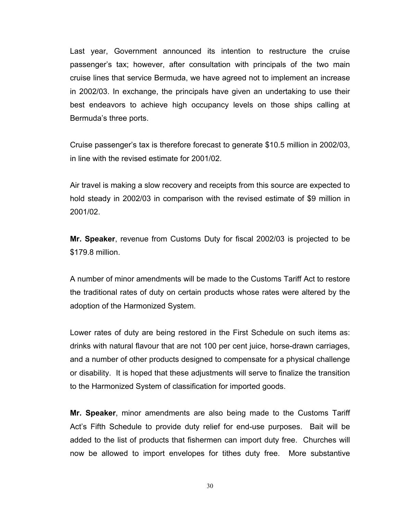Last year, Government announced its intention to restructure the cruise passenger's tax; however, after consultation with principals of the two main cruise lines that service Bermuda, we have agreed not to implement an increase in 2002/03. In exchange, the principals have given an undertaking to use their best endeavors to achieve high occupancy levels on those ships calling at Bermuda's three ports.

Cruise passenger's tax is therefore forecast to generate \$10.5 million in 2002/03, in line with the revised estimate for 2001/02.

Air travel is making a slow recovery and receipts from this source are expected to hold steady in 2002/03 in comparison with the revised estimate of \$9 million in 2001/02.

**Mr. Speaker**, revenue from Customs Duty for fiscal 2002/03 is projected to be \$179.8 million.

A number of minor amendments will be made to the Customs Tariff Act to restore the traditional rates of duty on certain products whose rates were altered by the adoption of the Harmonized System.

Lower rates of duty are being restored in the First Schedule on such items as: drinks with natural flavour that are not 100 per cent juice, horse-drawn carriages, and a number of other products designed to compensate for a physical challenge or disability. It is hoped that these adjustments will serve to finalize the transition to the Harmonized System of classification for imported goods.

**Mr. Speaker**, minor amendments are also being made to the Customs Tariff Act's Fifth Schedule to provide duty relief for end-use purposes. Bait will be added to the list of products that fishermen can import duty free. Churches will now be allowed to import envelopes for tithes duty free. More substantive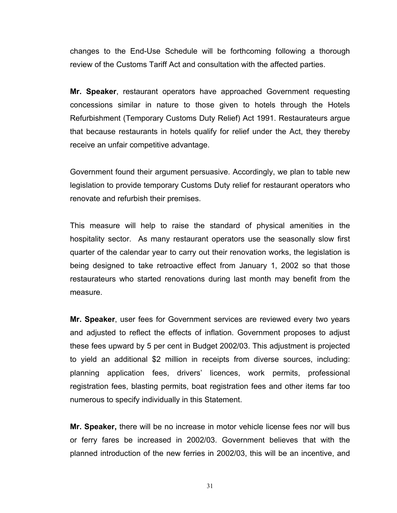changes to the End-Use Schedule will be forthcoming following a thorough review of the Customs Tariff Act and consultation with the affected parties.

**Mr. Speaker**, restaurant operators have approached Government requesting concessions similar in nature to those given to hotels through the Hotels Refurbishment (Temporary Customs Duty Relief) Act 1991. Restaurateurs argue that because restaurants in hotels qualify for relief under the Act, they thereby receive an unfair competitive advantage.

Government found their argument persuasive. Accordingly, we plan to table new legislation to provide temporary Customs Duty relief for restaurant operators who renovate and refurbish their premises.

This measure will help to raise the standard of physical amenities in the hospitality sector. As many restaurant operators use the seasonally slow first quarter of the calendar year to carry out their renovation works, the legislation is being designed to take retroactive effect from January 1, 2002 so that those restaurateurs who started renovations during last month may benefit from the measure.

**Mr. Speaker**, user fees for Government services are reviewed every two years and adjusted to reflect the effects of inflation. Government proposes to adjust these fees upward by 5 per cent in Budget 2002/03. This adjustment is projected to yield an additional \$2 million in receipts from diverse sources, including: planning application fees, drivers' licences, work permits, professional registration fees, blasting permits, boat registration fees and other items far too numerous to specify individually in this Statement.

**Mr. Speaker,** there will be no increase in motor vehicle license fees nor will bus or ferry fares be increased in 2002/03. Government believes that with the planned introduction of the new ferries in 2002/03, this will be an incentive, and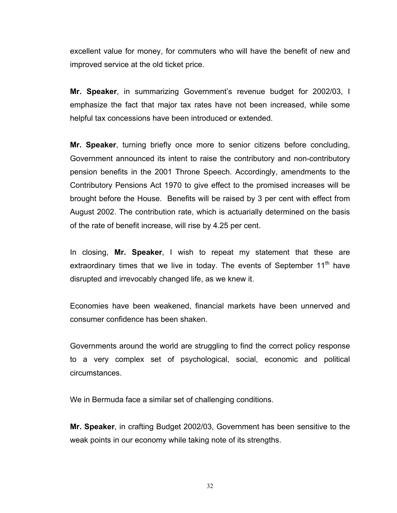excellent value for money, for commuters who will have the benefit of new and improved service at the old ticket price.

**Mr. Speaker**, in summarizing Government's revenue budget for 2002/03, I emphasize the fact that major tax rates have not been increased, while some helpful tax concessions have been introduced or extended.

**Mr. Speaker**, turning briefly once more to senior citizens before concluding, Government announced its intent to raise the contributory and non-contributory pension benefits in the 2001 Throne Speech. Accordingly, amendments to the Contributory Pensions Act 1970 to give effect to the promised increases will be brought before the House. Benefits will be raised by 3 per cent with effect from August 2002. The contribution rate, which is actuarially determined on the basis of the rate of benefit increase, will rise by 4.25 per cent.

In closing, **Mr. Speaker**, I wish to repeat my statement that these are extraordinary times that we live in today. The events of September 11<sup>th</sup> have disrupted and irrevocably changed life, as we knew it.

Economies have been weakened, financial markets have been unnerved and consumer confidence has been shaken.

Governments around the world are struggling to find the correct policy response to a very complex set of psychological, social, economic and political circumstances.

We in Bermuda face a similar set of challenging conditions.

**Mr. Speaker**, in crafting Budget 2002/03, Government has been sensitive to the weak points in our economy while taking note of its strengths.